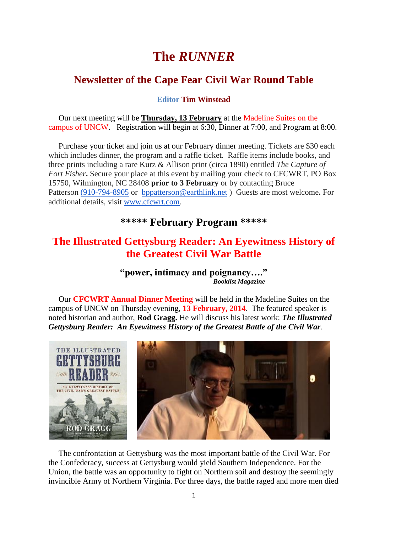# **The** *RUNNER*

## **Newsletter of the Cape Fear Civil War Round Table**

#### **Editor Tim Winstead**

 Our next meeting will be **Thursday, 13 February** at the Madeline Suites on the campus of UNCW. Registration will begin at 6:30, Dinner at 7:00, and Program at 8:00.

Purchase your ticket and join us at our February dinner meeting. Tickets are \$30 each which includes dinner, the program and a raffle ticket. Raffle items include books, and three prints including a rare Kurz & Allison print (circa 1890) entitled *The Capture of Fort Fisher***.** Secure your place at this event by mailing your check to CFCWRT, PO Box 15750, Wilmington, NC 28408 **prior to 3 February** or by contacting Bruce Patterson [\(910-794-8905](tel:%28910-794-8905) or [bppatterson@earthlink.net](mailto:bppatterson@earthlink.net) ) Guests are most welcome**.** For additional details, visit [www.cfcwrt.com.](http://www.cfcwrt.com/)

## **\*\*\*\*\* February Program \*\*\*\*\***

## **The Illustrated Gettysburg Reader: An Eyewitness History of the Greatest Civil War Battle**

**"power, intimacy and poignancy…."**  *Booklist Magazine*

 Our **CFCWRT Annual Dinner Meeting** will be held in the Madeline Suites on the campus of UNCW on Thursday evening, **13 February, 2014**. The featured speaker is noted historian and author, **Rod Gragg.** He will discuss his latest work: *The Illustrated Gettysburg Reader: An Eyewitness History of the Greatest Battle of the Civil War.*



 The confrontation at Gettysburg was the most important battle of the Civil War. For the Confederacy, success at Gettysburg would yield Southern Independence. For the Union, the battle was an opportunity to fight on Northern soil and destroy the seemingly invincible Army of Northern Virginia. For three days, the battle raged and more men died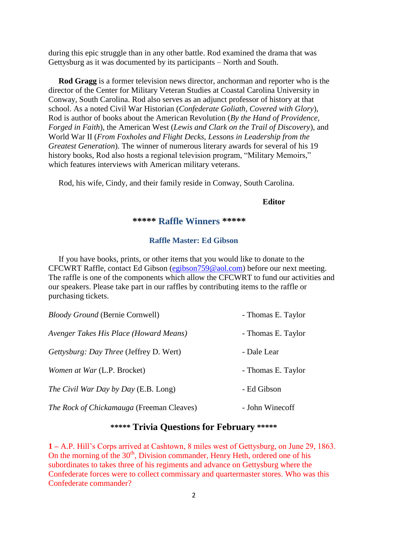during this epic struggle than in any other battle. Rod examined the drama that was Gettysburg as it was documented by its participants – North and South.

 **Rod Gragg** is a former television news director, anchorman and reporter who is the director of the Center for Military Veteran Studies at Coastal Carolina University in Conway, South Carolina. Rod also serves as an adjunct professor of history at that school. As a noted Civil War Historian (*Confederate Goliath, Covered with Glory*), Rod is author of books about the American Revolution (*By the Hand of Providence, Forged in Faith*), the American West (*Lewis and Clark on the Trail of Discovery*), and World War II (*From Foxholes and Flight Decks, Lessons in Leadership from the Greatest Generation*). The winner of numerous literary awards for several of his 19 history books, Rod also hosts a regional television program, "Military Memoirs," which features interviews with American military veterans.

Rod, his wife, Cindy, and their family reside in Conway, South Carolina.

#### **Editor**

#### **\*\*\*\*\* Raffle Winners \*\*\*\*\***

#### **Raffle Master: Ed Gibson**

If you have books, prints, or other items that you would like to donate to the CFCWRT Raffle, contact Ed Gibson [\(egibson759@aol.com\)](mailto:egibson759@aol.com) before our next meeting. The raffle is one of the components which allow the CFCWRT to fund our activities and our speakers. Please take part in our raffles by contributing items to the raffle or purchasing tickets.

| <i>Bloody Ground</i> (Bernie Cornwell)         | - Thomas E. Taylor |
|------------------------------------------------|--------------------|
| Avenger Takes His Place (Howard Means)         | - Thomas E. Taylor |
| <i>Gettysburg: Day Three (Jeffrey D. Wert)</i> | - Dale Lear        |
| <i>Women at War (L.P. Brocket)</i>             | - Thomas E. Taylor |
| The Civil War Day by Day (E.B. Long)           | - Ed Gibson        |
| The Rock of Chickamauga (Freeman Cleaves)      | - John Winecoff    |

### **\*\*\*\*\* Trivia Questions for February \*\*\*\*\***

**1 –** A.P. Hill's Corps arrived at Cashtown, 8 miles west of Gettysburg, on June 29, 1863. On the morning of the  $30<sup>th</sup>$ , Division commander, Henry Heth, ordered one of his subordinates to takes three of his regiments and advance on Gettysburg where the Confederate forces were to collect commissary and quartermaster stores. Who was this Confederate commander?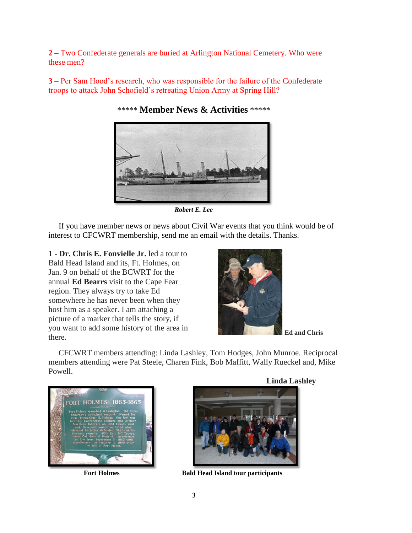**2 –** Two Confederate generals are buried at Arlington National Cemetery. Who were these men?

**3 –** Per Sam Hood's research, who was responsible for the failure of the Confederate troops to attack John Schofield's retreating Union Army at Spring Hill?



\*\*\*\*\* **Member News & Activities** \*\*\*\*\*

*Robert E. Lee*

 If you have member news or news about Civil War events that you think would be of interest to CFCWRT membership, send me an email with the details. Thanks.

**1 - Dr. Chris E. Fonvielle Jr.** led a tour to Bald Head Island and its, Ft. Holmes, on Jan. 9 on behalf of the BCWRT for the annual **Ed Bearrs** visit to the Cape Fear region. They always try to take Ed somewhere he has never been when they host him as a speaker. I am attaching a picture of a marker that tells the story, if you want to add some history of the area in **Ed and Chris**<br>there.



 CFCWRT members attending: Linda Lashley, Tom Hodges, John Munroe. Reciprocal members attending were Pat Steele, Charen Fink, Bob Maffitt, Wally Rueckel and, Mike Powell.







Fort Holmes Bald Head Island tour participants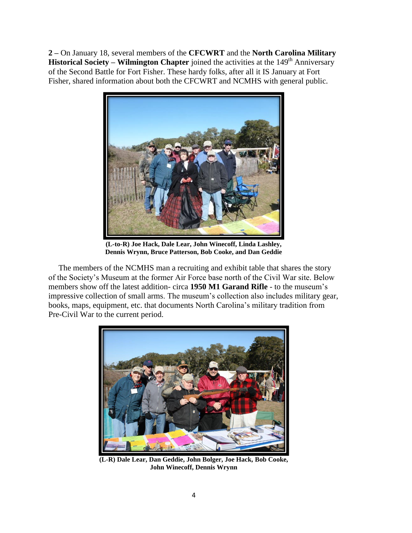**2 –** On January 18, several members of the **CFCWRT** and the **North Carolina Military Historical Society – Wilmington Chapter** joined the activities at the 149<sup>th</sup> Anniversary of the Second Battle for Fort Fisher. These hardy folks, after all it IS January at Fort Fisher, shared information about both the CFCWRT and NCMHS with general public.



**(L-to-R) Joe Hack, Dale Lear, John Winecoff, Linda Lashley, Dennis Wrynn, Bruce Patterson, Bob Cooke, and Dan Geddie**

The members of the NCMHS man a recruiting and exhibit table that shares the story of the Society's Museum at the former Air Force base north of the Civil War site. Below members show off the latest addition- circa **1950 M1 Garand Rifle** - to the museum's impressive collection of small arms. The museum's collection also includes military gear, books, maps, equipment, etc. that documents North Carolina's military tradition from Pre-Civil War to the current period.



**(L-R) Dale Lear, Dan Geddie, John Bolger, Joe Hack, Bob Cooke, John Winecoff, Dennis Wrynn**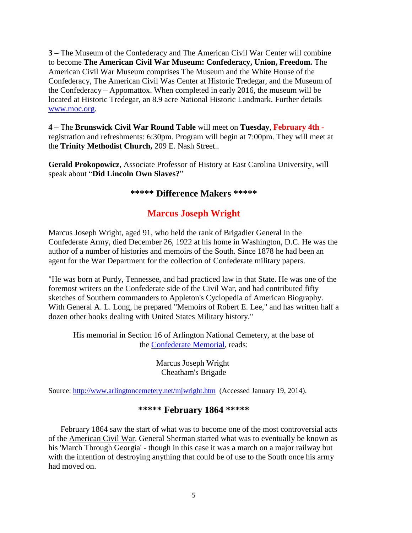**3 –** The Museum of the Confederacy and The American Civil War Center will combine to become **The American Civil War Museum: Confederacy, Union, Freedom.** The American Civil War Museum comprises The Museum and the White House of the Confederacy, The American Civil Was Center at Historic Tredegar, and the Museum of the Confederacy – Appomattox. When completed in early 2016, the museum will be located at Historic Tredegar, an 8.9 acre National Historic Landmark. Further details [www.moc.org.](http://www.moc.org/)

**4 –** The **Brunswick Civil War Round Table** will meet on **Tuesday**, **February 4th**  registration and refreshments: 6:30pm. Program will begin at 7:00pm. They will meet at the **Trinity Methodist Church,** 209 E. Nash Street..

**Gerald Prokopowicz**, Associate Professor of History at East Carolina University, will speak about "**Did Lincoln Own Slaves?**"

### **\*\*\*\*\* Difference Makers \*\*\*\*\***

## **Marcus Joseph Wright**

Marcus Joseph Wright, aged 91, who held the rank of Brigadier General in the Confederate Army, died December 26, 1922 at his home in Washington, D.C. He was the author of a number of histories and memoirs of the South. Since 1878 he had been an agent for the War Department for the collection of Confederate military papers.

"He was born at Purdy, Tennessee, and had practiced law in that State. He was one of the foremost writers on the Confederate side of the Civil War, and had contributed fifty sketches of Southern commanders to Appleton's Cyclopedia of American Biography. With General A. L. Long, he prepared "Memoirs of Robert E. Lee," and has written half a dozen other books dealing with United States Military history."

His memorial in Section 16 of Arlington National Cemetery, at the base of the [Confederate Memorial,](http://www.arlingtoncemetery.net/csa-mem.htm) reads:

> Marcus Joseph Wright Cheatham's Brigade

Source:<http://www.arlingtoncemetery.net/mjwright.htm>(Accessed January 19, 2014).

### **\*\*\*\*\* February 1864 \*\*\*\*\***

 February 1864 saw the start of what was to become one of the most controversial acts of the [American Civil War.](http://www.historylearningsite.co.uk/american-civil-war.htm) General Sherman started what was to eventually be known as his 'March Through Georgia' - though in this case it was a march on a major railway but with the intention of destroying anything that could be of use to the South once his army had moved on.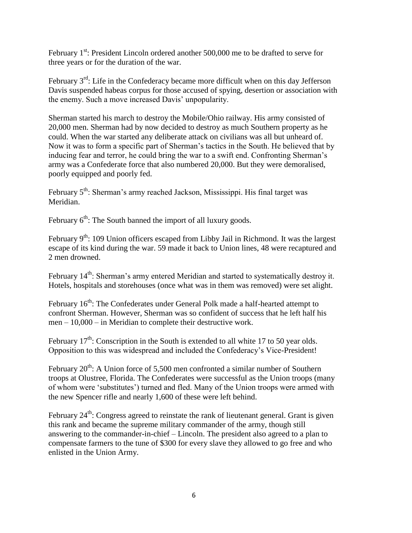February  $1<sup>st</sup>$ : President Lincoln ordered another 500,000 me to be drafted to serve for three years or for the duration of the war.

February 3<sup>rd</sup>: Life in the Confederacy became more difficult when on this day Jefferson Davis suspended habeas corpus for those accused of spying, desertion or association with the enemy. Such a move increased Davis' unpopularity.

Sherman started his march to destroy the Mobile/Ohio railway. His army consisted of 20,000 men. Sherman had by now decided to destroy as much Southern property as he could. When the war started any deliberate attack on civilians was all but unheard of. Now it was to form a specific part of Sherman's tactics in the South. He believed that by inducing fear and terror, he could bring the war to a swift end. Confronting Sherman's army was a Confederate force that also numbered 20,000. But they were demoralised, poorly equipped and poorly fed.

February 5<sup>th</sup>: Sherman's army reached Jackson, Mississippi. His final target was Meridian.

February  $6<sup>th</sup>$ : The South banned the import of all luxury goods.

February 9<sup>th</sup>: 109 Union officers escaped from Libby Jail in Richmond. It was the largest escape of its kind during the war. 59 made it back to Union lines, 48 were recaptured and 2 men drowned.

February  $14<sup>th</sup>$ : Sherman's army entered Meridian and started to systematically destroy it. Hotels, hospitals and storehouses (once what was in them was removed) were set alight.

February 16<sup>th</sup>: The Confederates under General Polk made a half-hearted attempt to confront Sherman. However, Sherman was so confident of success that he left half his men – 10,000 – in Meridian to complete their destructive work.

February  $17<sup>th</sup>$ : Conscription in the South is extended to all white 17 to 50 year olds. Opposition to this was widespread and included the Confederacy's Vice-President!

February  $20^{th}$ : A Union force of 5,500 men confronted a similar number of Southern troops at Olustree, Florida. The Confederates were successful as the Union troops (many of whom were 'substitutes') turned and fled. Many of the Union troops were armed with the new Spencer rifle and nearly 1,600 of these were left behind.

February  $24<sup>th</sup>$ : Congress agreed to reinstate the rank of lieutenant general. Grant is given this rank and became the supreme military commander of the army, though still answering to the commander-in-chief – Lincoln. The president also agreed to a plan to compensate farmers to the tune of \$300 for every slave they allowed to go free and who enlisted in the Union Army.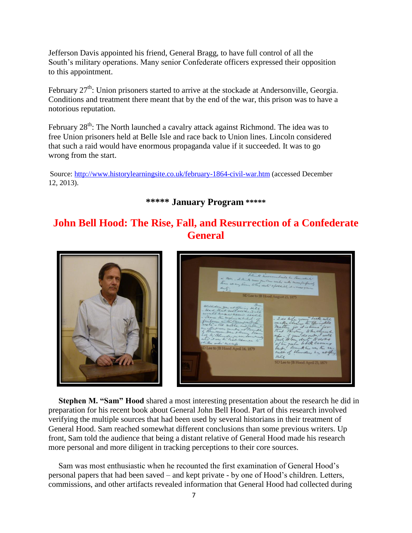Jefferson Davis appointed his friend, General Bragg, to have full control of all the South's military operations. Many senior Confederate officers expressed their opposition to this appointment.

February  $27<sup>th</sup>$ : Union prisoners started to arrive at the stockade at Andersonville, Georgia. Conditions and treatment there meant that by the end of the war, this prison was to have a notorious reputation.

February 28<sup>th</sup>: The North launched a cavalry attack against Richmond. The idea was to free Union prisoners held at Belle Isle and race back to Union lines. Lincoln considered that such a raid would have enormous propaganda value if it succeeded. It was to go wrong from the start.

Source:<http://www.historylearningsite.co.uk/february-1864-civil-war.htm> (accessed December 12, 2013).

**\*\*\*\*\* January Program \*\*\*\*\***

## **John Bell Hood: The Rise, Fall, and Resurrection of a Confederate General**





 **Stephen M. "Sam" Hood** shared a most interesting presentation about the research he did in preparation for his recent book about General John Bell Hood. Part of this research involved verifying the multiple sources that had been used by several historians in their treatment of General Hood. Sam reached somewhat different conclusions than some previous writers. Up front, Sam told the audience that being a distant relative of General Hood made his research more personal and more diligent in tracking perceptions to their core sources.

 Sam was most enthusiastic when he recounted the first examination of General Hood's personal papers that had been saved – and kept private - by one of Hood's children. Letters, commissions, and other artifacts revealed information that General Hood had collected during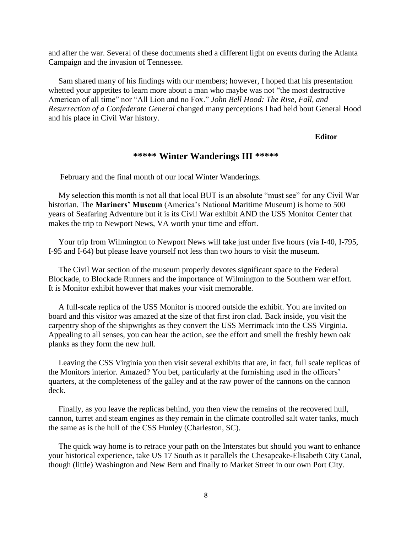and after the war. Several of these documents shed a different light on events during the Atlanta Campaign and the invasion of Tennessee.

 Sam shared many of his findings with our members; however, I hoped that his presentation whetted your appetites to learn more about a man who maybe was not "the most destructive American of all time" nor "All Lion and no Fox." *John Bell Hood: The Rise, Fall, and Resurrection of a Confederate General* changed many perceptions I had held bout General Hood and his place in Civil War history.

#### **Editor**

### **\*\*\*\*\* Winter Wanderings III \*\*\*\*\***

February and the final month of our local Winter Wanderings.

 My selection this month is not all that local BUT is an absolute "must see" for any Civil War historian. The **Mariners' Museum** (America's National Maritime Museum) is home to 500 years of Seafaring Adventure but it is its Civil War exhibit AND the USS Monitor Center that makes the trip to Newport News, VA worth your time and effort.

 Your trip from Wilmington to Newport News will take just under five hours (via I-40, I-795, I-95 and I-64) but please leave yourself not less than two hours to visit the museum.

 The Civil War section of the museum properly devotes significant space to the Federal Blockade, to Blockade Runners and the importance of Wilmington to the Southern war effort. It is Monitor exhibit however that makes your visit memorable.

 A full-scale replica of the USS Monitor is moored outside the exhibit. You are invited on board and this visitor was amazed at the size of that first iron clad. Back inside, you visit the carpentry shop of the shipwrights as they convert the USS Merrimack into the CSS Virginia. Appealing to all senses, you can hear the action, see the effort and smell the freshly hewn oak planks as they form the new hull.

 Leaving the CSS Virginia you then visit several exhibits that are, in fact, full scale replicas of the Monitors interior. Amazed? You bet, particularly at the furnishing used in the officers' quarters, at the completeness of the galley and at the raw power of the cannons on the cannon deck.

 Finally, as you leave the replicas behind, you then view the remains of the recovered hull, cannon, turret and steam engines as they remain in the climate controlled salt water tanks, much the same as is the hull of the CSS Hunley (Charleston, SC).

 The quick way home is to retrace your path on the Interstates but should you want to enhance your historical experience, take US 17 South as it parallels the Chesapeake-Elisabeth City Canal, though (little) Washington and New Bern and finally to Market Street in our own Port City.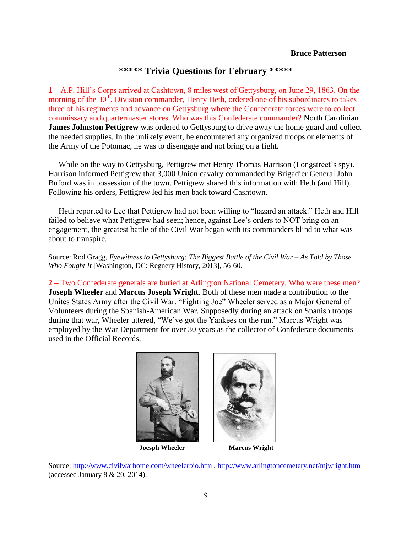#### **Bruce Patterson**

#### **\*\*\*\*\* Trivia Questions for February \*\*\*\*\***

**1 –** A.P. Hill's Corps arrived at Cashtown, 8 miles west of Gettysburg, on June 29, 1863. On the morning of the  $30<sup>th</sup>$ , Division commander, Henry Heth, ordered one of his subordinates to takes three of his regiments and advance on Gettysburg where the Confederate forces were to collect commissary and quartermaster stores. Who was this Confederate commander? North Carolinian **James Johnston Pettigrew** was ordered to Gettysburg to drive away the home guard and collect the needed supplies. In the unlikely event, he encountered any organized troops or elements of the Army of the Potomac, he was to disengage and not bring on a fight.

 While on the way to Gettysburg, Pettigrew met Henry Thomas Harrison (Longstreet's spy). Harrison informed Pettigrew that 3,000 Union cavalry commanded by Brigadier General John Buford was in possession of the town. Pettigrew shared this information with Heth (and Hill). Following his orders, Pettigrew led his men back toward Cashtown.

 Heth reported to Lee that Pettigrew had not been willing to "hazard an attack." Heth and Hill failed to believe what Pettigrew had seen; hence, against Lee's orders to NOT bring on an engagement, the greatest battle of the Civil War began with its commanders blind to what was about to transpire.

Source: Rod Gragg, *Eyewitness to Gettysburg: The Biggest Battle of the Civil War – As Told by Those Who Fought It* [Washington, DC: Regnery History, 2013], 56-60.

**2 –** Two Confederate generals are buried at Arlington National Cemetery. Who were these men? **Joseph Wheeler** and **Marcus Joseph Wright**. Both of these men made a contribution to the Unites States Army after the Civil War. "Fighting Joe" Wheeler served as a Major General of Volunteers during the Spanish-American War. Supposedly during an attack on Spanish troops during that war, Wheeler uttered, "We've got the Yankees on the run." Marcus Wright was employed by the War Department for over 30 years as the collector of Confederate documents used in the Official Records.



Source: <http://www.civilwarhome.com/wheelerbio.htm> , <http://www.arlingtoncemetery.net/mjwright.htm> (accessed January  $8 \& 20, 2014$ ).